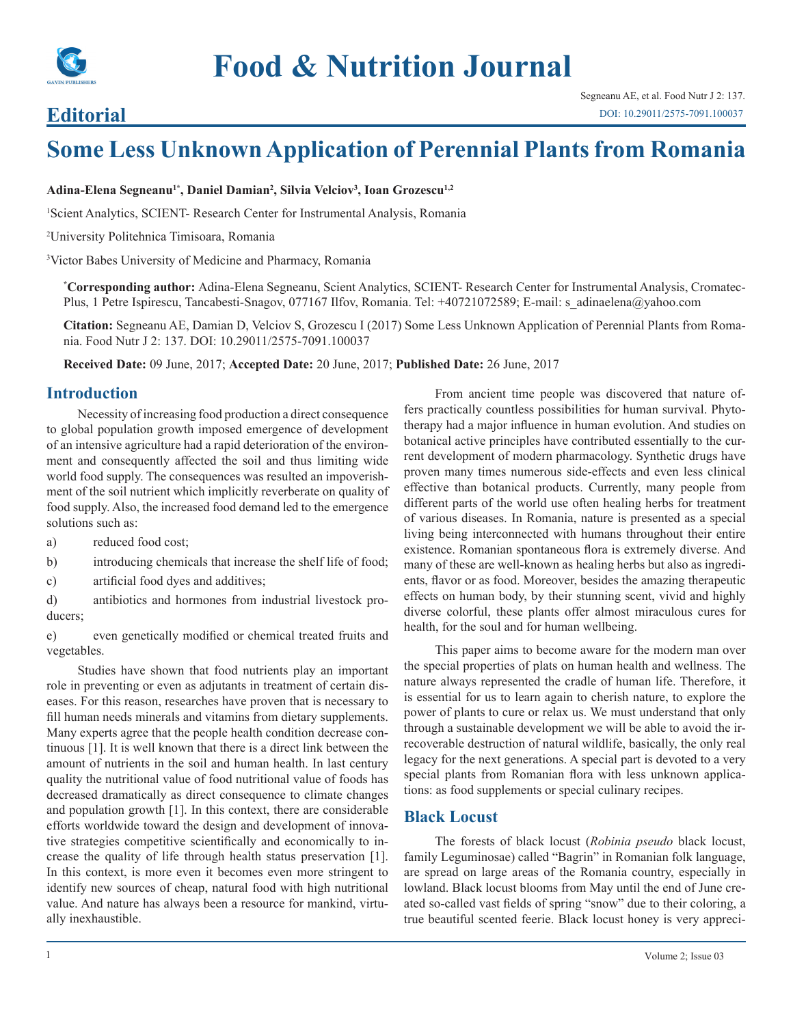

# **Editorial**

# **Some Less Unknown Application of Perennial Plants from Romania**

#### **Adina-Elena Segneanu1\*, Daniel Damian2 , Silvia Velciov3 , Ioan Grozescu1,2**

<sup>1</sup>Scient Analytics, SCIENT- Research Center for Instrumental Analysis, Romania

2 University Politehnica Timisoara, Romania

3 Victor Babes University of Medicine and Pharmacy, Romania

**\* Corresponding author:** Adina-Elena Segneanu, Scient Analytics, SCIENT- Research Center for Instrumental Analysis, Cromatec-Plus, 1 Petre Ispirescu, Tancabesti-Snagov, 077167 Ilfov, Romania. Tel: +40721072589; E-mail: s\_adinaelena@yahoo.com

**Citation:** Segneanu AE, Damian D, Velciov S, Grozescu I (2017) Some Less Unknown Application of Perennial Plants from Romania. Food Nutr J 2: 137. DOI: 10.29011/2575-7091.100037

**Received Date:** 09 June, 2017; **Accepted Date:** 20 June, 2017; **Published Date:** 26 June, 2017

#### **Introduction**

Necessity of increasing food production a direct consequence to global population growth imposed emergence of development of an intensive agriculture had a rapid deterioration of the environment and consequently affected the soil and thus limiting wide world food supply. The consequences was resulted an impoverishment of the soil nutrient which implicitly reverberate on quality of food supply. Also, the increased food demand led to the emergence solutions such as:

- a) reduced food cost;
- b) introducing chemicals that increase the shelf life of food;
- c) artificial food dyes and additives;

d) antibiotics and hormones from industrial livestock producers;

e) even genetically modified or chemical treated fruits and vegetables.

Studies have shown that food nutrients play an important role in preventing or even as adjutants in treatment of certain diseases. For this reason, researches have proven that is necessary to fill human needs minerals and vitamins from dietary supplements. Many experts agree that the people health condition decrease continuous [1]. It is well known that there is a direct link between the amount of nutrients in the soil and human health. In last century quality the nutritional value of food nutritional value of foods has decreased dramatically as direct consequence to climate changes and population growth [1]. In this context, there are considerable efforts worldwide toward the design and development of innovative strategies competitive scientifically and economically to increase the quality of life through health status preservation [1]. In this context, is more even it becomes even more stringent to identify new sources of cheap, natural food with high nutritional value. And nature has always been a resource for mankind, virtually inexhaustible.

From ancient time people was discovered that nature offers practically countless possibilities for human survival. Phytotherapy had a major influence in human evolution. And studies on botanical active principles have contributed essentially to the current development of modern pharmacology. Synthetic drugs have proven many times numerous side-effects and even less clinical effective than botanical products. Currently, many people from different parts of the world use often healing herbs for treatment of various diseases. In Romania, nature is presented as a special living being interconnected with humans throughout their entire existence. Romanian spontaneous flora is extremely diverse. And many of these are well-known as healing herbs but also as ingredients, flavor or as food. Moreover, besides the amazing therapeutic effects on human body, by their stunning scent, vivid and highly diverse colorful, these plants offer almost miraculous cures for health, for the soul and for human wellbeing.

This paper aims to become aware for the modern man over the special properties of plats on human health and wellness. The nature always represented the cradle of human life. Therefore, it is essential for us to learn again to cherish nature, to explore the power of plants to cure or relax us. We must understand that only through a sustainable development we will be able to avoid the irrecoverable destruction of natural wildlife, basically, the only real legacy for the next generations. A special part is devoted to a very special plants from Romanian flora with less unknown applications: as food supplements or special culinary recipes.

#### **Black Locust**

The forests of black locust (*Robinia pseudo* black locust, family Leguminosae) called "Bagrin" in Romanian folk language, are spread on large areas of the Romania country, especially in lowland. Black locust blooms from May until the end of June created so-called vast fields of spring "snow" due to their coloring, a true beautiful scented feerie. Black locust honey is very appreci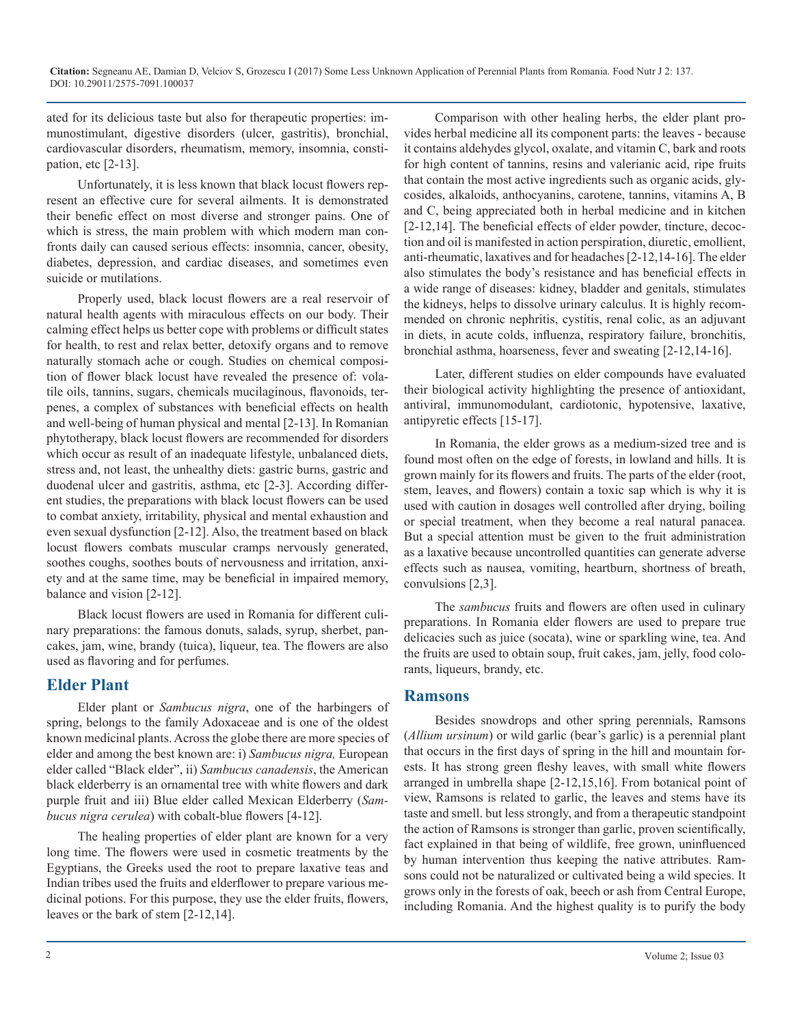ated for its delicious taste but also for therapeutic properties: immunostimulant, digestive disorders (ulcer, gastritis), bronchial, cardiovascular disorders, rheumatism, memory, insomnia, constipation, etc [2-13].

Unfortunately, it is less known that black locust flowers represent an effective cure for several ailments. It is demonstrated their benefic effect on most diverse and stronger pains. One of which is stress, the main problem with which modern man confronts daily can caused serious effects: insomnia, cancer, obesity, diabetes, depression, and cardiac diseases, and sometimes even suicide or mutilations.

Properly used, black locust flowers are a real reservoir of natural health agents with miraculous effects on our body. Their calming effect helps us better cope with problems or difficult states for health, to rest and relax better, detoxify organs and to remove naturally stomach ache or cough. Studies on chemical composition of flower black locust have revealed the presence of: volatile oils, tannins, sugars, chemicals mucilaginous, flavonoids, terpenes, a complex of substances with beneficial effects on health and well-being of human physical and mental [2-13]. In Romanian phytotherapy, black locust flowers are recommended for disorders which occur as result of an inadequate lifestyle, unbalanced diets, stress and, not least, the unhealthy diets: gastric burns, gastric and duodenal ulcer and gastritis, asthma, etc [2-3]. According different studies, the preparations with black locust flowers can be used to combat anxiety, irritability, physical and mental exhaustion and even sexual dysfunction [2-12]. Also, the treatment based on black locust flowers combats muscular cramps nervously generated, soothes coughs, soothes bouts of nervousness and irritation, anxiety and at the same time, may be beneficial in impaired memory, balance and vision [2-12].

Black locust flowers are used in Romania for different culinary preparations: the famous donuts, salads, syrup, sherbet, pancakes, jam, wine, brandy (tuica), liqueur, tea. The flowers are also used as flavoring and for perfumes.

### **Elder Plant**

Elder plant or *Sambucus nigra*, one of the harbingers of spring, belongs to the family Adoxaceae and is one of the oldest known medicinal plants. Across the globe there are more species of elder and among the best known are: i) *Sambucus nigra,* European elder called "Black elder", ii) *Sambucus canadensis*, the American black elderberry is an ornamental tree with white flowers and dark purple fruit and iii) Blue elder called Mexican Elderberry (*Sambucus nigra cerulea*) with cobalt-blue flowers [4-12].

The healing properties of elder plant are known for a very long time. The flowers were used in cosmetic treatments by the Egyptians, the Greeks used the root to prepare laxative teas and Indian tribes used the fruits and elderflower to prepare various medicinal potions. For this purpose, they use the elder fruits, flowers, leaves or the bark of stem [2-12,14].

Comparison with other healing herbs, the elder plant provides herbal medicine all its component parts: the leaves - because it contains aldehydes glycol, oxalate, and vitamin C, bark and roots for high content of tannins, resins and valerianic acid, ripe fruits that contain the most active ingredients such as organic acids, glycosides, alkaloids, anthocyanins, carotene, tannins, vitamins A, B and C, being appreciated both in herbal medicine and in kitchen [2-12,14]. The beneficial effects of elder powder, tincture, decoction and oil is manifested in action perspiration, diuretic, emollient, anti-rheumatic, laxatives and for headaches [2-12,14-16]. The elder also stimulates the body's resistance and has beneficial effects in a wide range of diseases: kidney, bladder and genitals, stimulates the kidneys, helps to dissolve urinary calculus. It is highly recommended on chronic nephritis, cystitis, renal colic, as an adjuvant in diets, in acute colds, influenza, respiratory failure, bronchitis, bronchial asthma, hoarseness, fever and sweating [2-12,14-16].

Later, different studies on elder compounds have evaluated their biological activity highlighting the presence of antioxidant, antiviral, immunomodulant, cardiotonic, hypotensive, laxative, antipyretic effects [15-17].

In Romania, the elder grows as a medium-sized tree and is found most often on the edge of forests, in lowland and hills. It is grown mainly for its flowers and fruits. The parts of the elder (root, stem, leaves, and flowers) contain a toxic sap which is why it is used with caution in dosages well controlled after drying, boiling or special treatment, when they become a real natural panacea. But a special attention must be given to the fruit administration as a laxative because uncontrolled quantities can generate adverse effects such as nausea, vomiting, heartburn, shortness of breath, convulsions [2,3].

The *sambucus* fruits and flowers are often used in culinary preparations. In Romania elder flowers are used to prepare true delicacies such as juice (socata), wine or sparkling wine, tea. And the fruits are used to obtain soup, fruit cakes, jam, jelly, food colorants, liqueurs, brandy, etc.

#### **Ramsons**

Besides snowdrops and other spring perennials, Ramsons (*Allium ursinum*) or wild garlic (bear's garlic) is a perennial plant that occurs in the first days of spring in the hill and mountain forests. It has strong green fleshy leaves, with small white flowers arranged in umbrella shape [2-12,15,16]. From botanical point of view, Ramsons is related to garlic, the leaves and stems have its taste and smell. but less strongly, and from a therapeutic standpoint the action of Ramsons is stronger than garlic, proven scientifically, fact explained in that being of wildlife, free grown, uninfluenced by human intervention thus keeping the native attributes. Ramsons could not be naturalized or cultivated being a wild species. It grows only in the forests of oak, beech or ash from Central Europe, including Romania. And the highest quality is to purify the body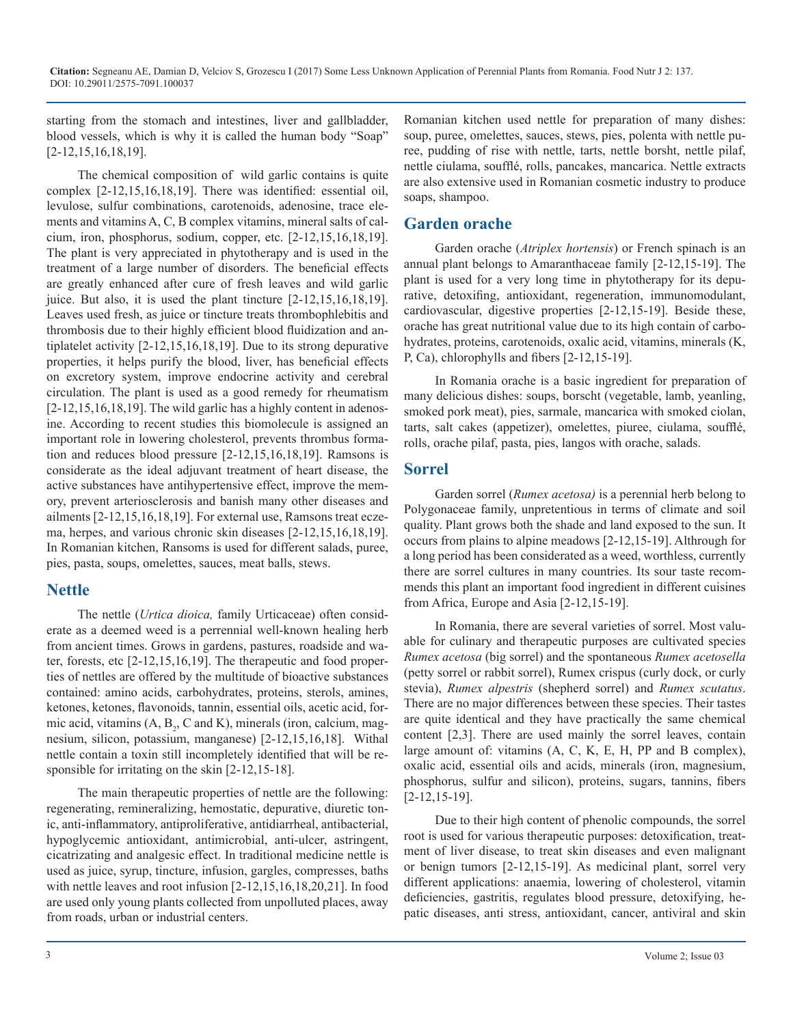**Citation:** Segneanu AE, Damian D, Velciov S, Grozescu I (2017) Some Less Unknown Application of Perennial Plants from Romania. Food Nutr J 2: 137. DOI: 10.29011/2575-7091.100037

starting from the stomach and intestines, liver and gallbladder, blood vessels, which is why it is called the human body "Soap" [2-12,15,16,18,19].

The chemical composition of wild garlic contains is quite complex [2-12,15,16,18,19]. There was identified: essential oil, levulose, sulfur combinations, carotenoids, adenosine, trace elements and vitamins A, C, B complex vitamins, mineral salts of calcium, iron, phosphorus, sodium, copper, etc. [2-12,15,16,18,19]. The plant is very appreciated in phytotherapy and is used in the treatment of a large number of disorders. The beneficial effects are greatly enhanced after cure of fresh leaves and wild garlic juice. But also, it is used the plant tincture [2-12,15,16,18,19]. Leaves used fresh, as juice or tincture treats thrombophlebitis and thrombosis due to their highly efficient blood fluidization and antiplatelet activity [2-12,15,16,18,19]. Due to its strong depurative properties, it helps purify the blood, liver, has beneficial effects on excretory system, improve endocrine activity and cerebral circulation. The plant is used as a good remedy for rheumatism [2-12,15,16,18,19]. The wild garlic has a highly content in adenosine. According to recent studies this biomolecule is assigned an important role in lowering cholesterol, prevents thrombus formation and reduces blood pressure [2-12,15,16,18,19]. Ramsons is considerate as the ideal adjuvant treatment of heart disease, the active substances have antihypertensive effect, improve the memory, prevent arteriosclerosis and banish many other diseases and ailments [2-12,15,16,18,19]. For external use, Ramsons treat eczema, herpes, and various chronic skin diseases [2-12,15,16,18,19]. In Romanian kitchen, Ransoms is used for different salads, puree, pies, pasta, soups, omelettes, sauces, meat balls, stews.

#### **Nettle**

The nettle (*Urtica dioica,* family Urticaceae) often considerate as a deemed weed is a perrennial well-known healing herb from ancient times. Grows in gardens, pastures, roadside and water, forests, etc [2-12,15,16,19]. The therapeutic and food properties of nettles are offered by the multitude of bioactive substances contained: amino acids, carbohydrates, proteins, sterols, amines, ketones, ketones, flavonoids, tannin, essential oils, acetic acid, formic acid, vitamins  $(A, B<sub>2</sub>, C and K)$ , minerals (iron, calcium, magnesium, silicon, potassium, manganese) [2-12,15,16,18]. Withal nettle contain a toxin still incompletely identified that will be responsible for irritating on the skin [2-12,15-18].

The main therapeutic properties of nettle are the following: regenerating, remineralizing, hemostatic, depurative, diuretic tonic, anti-inflammatory, antiproliferative, antidiarrheal, antibacterial, hypoglycemic antioxidant, antimicrobial, anti-ulcer, astringent, cicatrizating and analgesic effect. In traditional medicine nettle is used as juice, syrup, tincture, infusion, gargles, compresses, baths with nettle leaves and root infusion [2-12,15,16,18,20,21]. In food are used only young plants collected from unpolluted places, away from roads, urban or industrial centers.

Romanian kitchen used nettle for preparation of many dishes: soup, puree, omelettes, sauces, stews, pies, polenta with nettle puree, pudding of rise with nettle, tarts, nettle borsht, nettle pilaf, nettle ciulama, soufflé, rolls, pancakes, mancarica. Nettle extracts are also extensive used in Romanian cosmetic industry to produce soaps, shampoo.

# **Garden orache**

Garden orache (*Atriplex hortensis*) or French spinach is an annual plant belongs to Amaranthaceae family [2-12,15-19]. The plant is used for a very long time in phytotherapy for its depurative, detoxifing, antioxidant, regeneration, immunomodulant, cardiovascular, digestive properties [2-12,15-19]. Beside these, orache has great nutritional value due to its high contain of carbohydrates, proteins, carotenoids, oxalic acid, vitamins, minerals (K, P, Ca), chlorophylls and fibers [2-12,15-19].

In Romania orache is a basic ingredient for preparation of many delicious dishes: soups, borscht (vegetable, lamb, yeanling, smoked pork meat), pies, sarmale, mancarica with smoked ciolan, tarts, salt cakes (appetizer), omelettes, piuree, ciulama, soufflé, rolls, orache pilaf, pasta, pies, langos with orache, salads.

#### **Sorrel**

Garden sorrel (*Rumex acetosa)* is a [perennial](https://en.wikipedia.org/wiki/Perennial_plant) [herb](https://en.wikipedia.org/wiki/Herbaceous_plant) belong to [Polygonaceae](https://en.wikipedia.org/wiki/Polygonaceae) family, unpretentious in terms of climate and soil quality. Plant grows both the shade and land exposed to the sun. It occurs from plains to alpine meadows [2-12,15-19]. Althrough for a long period has been considerated as a weed, worthless, currently there are sorrel cultures in many countries. Its sour taste recommends this plant an important food ingredient in different cuisines from Africa, Europe and Asia [2-12,15-19].

In Romania, there are several varieties of sorrel. Most valuable for culinary and therapeutic purposes are cultivated species *Rumex acetosa* (big sorrel) and the spontaneous *Rumex acetosella* (petty sorrel or rabbit sorrel), Rumex crispus (curly dock, or curly stevia), *Rumex alpestris* (shepherd sorrel) and *Rumex scutatus*. There are no major differences between these species. Their tastes are quite identical and they have practically the same chemical content [2,3]. There are used mainly the sorrel leaves, contain large amount of: vitamins (A, C, K, E, H, PP and B complex), oxalic acid, essential oils and acids, minerals (iron, magnesium, phosphorus, sulfur and silicon), proteins, sugars, tannins, fibers [2-12,15-19].

Due to their high content of phenolic compounds, the sorrel root is used for various therapeutic purposes: detoxification, treatment of liver disease, to treat skin diseases and even malignant or benign tumors [2-12,15-19]. As medicinal plant, sorrel very different applications: anaemia, lowering of cholesterol, vitamin deficiencies, gastritis, regulates blood pressure, detoxifying, hepatic diseases, anti stress, antioxidant, cancer, antiviral and skin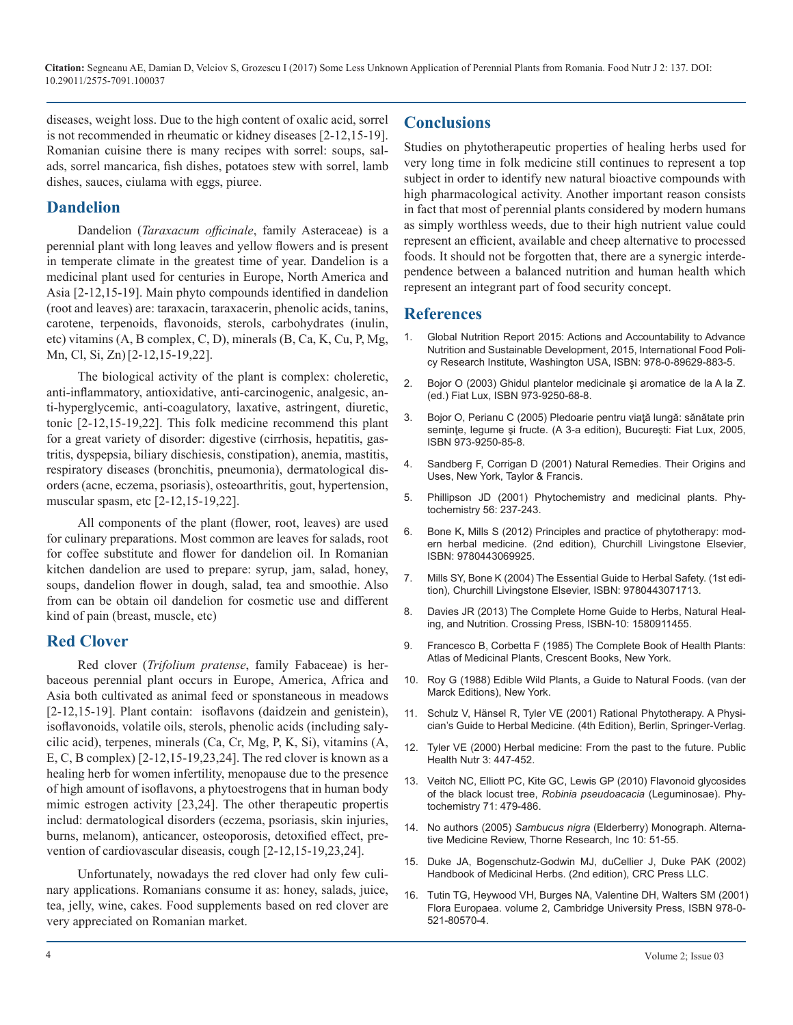diseases, weight loss. Due to the high content of oxalic acid, sorrel is not recommended in rheumatic or kidney diseases [2-12,15-19]. Romanian cuisine there is many recipes with sorrel: soups, salads, sorrel mancarica, fish dishes, potatoes stew with sorrel, lamb dishes, sauces, ciulama with eggs, piuree.

#### **Dandelion**

Dandelion (*Taraxacum officinale*, family [Asteraceae\)](https://en.wikipedia.org/wiki/Asteraceae) is a perennial plant with long leaves and yellow flowers and is present in temperate climate in the greatest time of year. Dandelion is a medicinal plant used for centuries in Europe, North America and Asia [2-12,15-19]. Main phyto compounds identified in dandelion (root and leaves) are: taraxacin, taraxacerin, phenolic acids, tanins, carotene, terpenoids, flavonoids, sterols, carbohydrates (inulin, etc) vitamins (A, B complex, C, D), minerals (B, Ca, K, Cu, P, Mg, Mn, Cl, Si, Zn)[2-12,15-19,22].

The biological activity of the plant is complex: choleretic, anti-inflammatory, antioxidative, anti-carcinogenic, analgesic, anti-hyperglycemic, anti-coagulatory, laxative, astringent, diuretic, tonic [2-12,15-19,22]. This folk medicine recommend this plant for a great variety of disorder: digestive [\(cirrhosis](https://www.herbal-supplement-resource.com/cirrhosis-remedies.html), hepatitis, gastritis, dyspepsia, biliary dischiesis, constipation), anemia, mastitis, respiratory diseases (bronchitis, pneumonia), dermatological disorders (acne, eczema, psoriasis), [osteoarthritis,](https://www.herbal-supplement-resource.com/alternative-osteoarthritis-treatments.html) gout, hypertension, muscular spasm, etc [2-12,15-19,22].

All components of the plant (flower, root, leaves) are used for culinary preparations. Most common are leaves for salads, root for coffee substitute and flower for dandelion oil. In Romanian kitchen dandelion are used to prepare: syrup, jam, salad, honey, soups, dandelion flower in dough, salad, tea and smoothie. Also from can be obtain oil dandelion for cosmetic use and different kind of pain (breast, muscle, etc)

#### **Red Clover**

Red clover (*Trifolium pratense*, family [Fabaceae\)](https://en.wikipedia.org/wiki/Fabaceae) is herbaceous perennial plant occurs in Europe, America, Africa and Asia both cultivated as animal feed or sponstaneous in meadows [2-12,15-19]. Plant contain: isoflavons (daidzein and genistein), isoflavonoids, volatile oils, sterols, phenolic acids (including salycilic acid), terpenes, minerals (Ca, Cr, Mg, P, K, Si), vitamins (A, E, C, B complex) [2-12,15-19,23,24]. The red clover is known as a healing herb for women infertility, menopause due to the presence of high amount of isoflavons, a phytoestrogens that in human body mimic estrogen activity [23,24]. The other therapeutic propertis includ: dermatological disorders (eczema, psoriasis, skin injuries, burns, melanom), anticancer, osteoporosis, detoxified effect, prevention of cardiovascular diseasis, cough [2-12,15-19,23,24].

Unfortunately, nowadays the red clover had only few culinary applications. Romanians consume it as: honey, salads, juice, tea, jelly, wine, cakes. Food supplements based on red clover are very appreciated on Romanian market.

# **Conclusions**

Studies on phytotherapeutic properties of healing herbs used for very long time in folk medicine still continues to represent a top subject in order to identify new natural bioactive compounds with high pharmacological activity. Another important reason consists in fact that most of perennial plants considered by modern humans as simply worthless weeds, due to their high nutrient value could represent an efficient, available and cheep alternative to processed foods. It should not be forgotten that, there are a synergic interdependence between a balanced nutrition and human health which represent an integrant part of food security concept.

#### **References**

- 1. [Global Nutrition Report 2015: Actions and Accountability to Advance](https://books.google.co.in/books?id=kdqICgAAQBAJ&printsec=frontcover&dq=Global+Nutrition+Report+-+Actions+and+Accountability+to+Advance+Nutrition+and+Sustainable+Development,+2015,+International+Food+Policy+Research+Institute&hl=en&sa=X&ved=0ahUKEwipkJbK5t)  Nutrition and Sustainable Development, 2015, International Food Poli[cy Research Institute, Washington USA, ISBN: 978-0-89629-883-5.](https://books.google.co.in/books?id=kdqICgAAQBAJ&printsec=frontcover&dq=Global+Nutrition+Report+-+Actions+and+Accountability+to+Advance+Nutrition+and+Sustainable+Development,+2015,+International+Food+Policy+Research+Institute&hl=en&sa=X&ved=0ahUKEwipkJbK5t)
- 2. Bojor O (2003) Ghidul plantelor medicinale şi aromatice de la A la Z. (ed.) Fiat Lux, ISBN 973-9250-68-8.
- 3. [Bojor O, Perianu C \(2005\) Pledoarie pentru viaţă lungă: sănătate prin](https://adelina1954.files.wordpress.com/2015/01/17563907-ovidiu-bojor-sanatate-prin-seminte-legume-si-fructe.pdf)  semințe,legume și fructe. (A 3-a edition), București: Fiat Lux, 2005, [ISBN 973-9250-85-8.](https://adelina1954.files.wordpress.com/2015/01/17563907-ovidiu-bojor-sanatate-prin-seminte-legume-si-fructe.pdf)
- 4. [Sandberg F, Corrigan D \(2001\) Natural Remedies. Their Origins and](https://books.google.co.in/books?id=dOtpKTKkMcYC&printsec=frontcover&dq=Natural+Remedies.+Their+Origins+and+Uses,&hl=en&sa=X&ved=0ahUKEwi1xpX46dXUAhVCRY8KHcSZAc8Q6AEIIzAA#v=onepage&q=Natural Remedies. Their Origins and Uses%2C&f=false)  Uses, New York, Taylor & Francis.
- 5. [Phillipson JD \(2001\) Phytochemistry and medicinal plants. Phy](http://doi.org/10.29011/2575-7091. 100037)tochemistry 56: 237-243.
- 6. Bone K**,** [Mills S \(2012\) Principles and practice of phytotherapy: mod](https://books.google.co.in/books?id=5V1QlqHazcwC&printsec=frontcover&dq=Principles+and+practice+of+phytotherapy:+modern+herbal+medicine.+(2nd+edition&hl=en&sa=X&ved=0ahUKEwjHxpbS6tXUAhXIOo8KHd0NAEkQ6AEIIzAA#v=onepage&q=Principles and practice of ph)[ern herbal medicine. \(2nd edition\), Churchill Livingstone Elsevier,](https://books.google.co.in/books?id=5V1QlqHazcwC&printsec=frontcover&dq=Principles+and+practice+of+phytotherapy:+modern+herbal+medicine.+(2nd+edition&hl=en&sa=X&ved=0ahUKEwjHxpbS6tXUAhXIOo8KHd0NAEkQ6AEIIzAA#v=onepage&q=Principles and practice of ph)  [ISBN: 9780443069925.](https://books.google.co.in/books?id=5V1QlqHazcwC&printsec=frontcover&dq=Principles+and+practice+of+phytotherapy:+modern+herbal+medicine.+(2nd+edition&hl=en&sa=X&ved=0ahUKEwjHxpbS6tXUAhXIOo8KHd0NAEkQ6AEIIzAA#v=onepage&q=Principles and practice of ph)
- 7. [Mills SY, Bone K \(2004\) The Essential Guide to Herbal Safety. \(1st edi](https://www.elsevier.com/books/the-essential-guide-to-herbal-safety/mills/978-0-443-07171-3)tion), Churchill Livingstone Elsevier, ISBN: 9780443071713.
- 8. [Davies JR \(2013\) The Complete Home Guide to Herbs, Natural Heal](https://books.google.co.in/books?id=dVy7gZH1_RMC&dq=The+Complete+Home+Guide+to+Herbs,+Natural+Healing,+and+Nutrition,+2004,+Crossing+Press&hl=en&sa=X&ved=0ahUKEwi5jOK469XUAhUFv48KHeLDBb0Q6AEIMTAC)ing, and Nutrition. Crossing Press, ISBN-10: 1580911455.
- 9. Francesco B, Corbetta F (1985) The Complete Book of Health Plants: Atlas of Medicinal Plants, Crescent Books, New York.
- 10. [Roy G \(1988\) Edible Wild Plants, a Guide to Natural Foods. \(van der](https://books.google.co.in/books?id=9owMAQAAMAAJ&q=Edible+Wild+Plants,+a+Guide+to+Natural+Foods&dq=Edible+Wild+Plants,+a+Guide+to+Natural+Foods&hl=en&sa=X&ved=0ahUKEwjMo4fa7NXUAhULtY8KHWTGDVMQ6AEIIzAA)  Marck Editions), New York.
- 11. [Schulz V, Hänsel R, Tyler VE \(2001\) Rational Phytotherapy. A Physi](http://www.springer.com/gp/book/9783642980930)cian's Guide to Herbal Medicine. (4th Edition), Berlin, Springer-Verlag.
- 12. [Tyler VE \(2000\) Herbal medicine: From the past to the future. Public](https://www.ncbi.nlm.nih.gov/pubmed/11276292)  Health Nutr 3: 447-452.
- 13. [Veitch NC, Elliott PC, Kite GC, Lewis GP \(2010\) Flavonoid glycosides](https://www.ncbi.nlm.nih.gov/pubmed/19948349https:/en.wikipedia.org/wiki/Phytochemistry_%28journal%29)  of the black locust tree, *Robinia pseudoacacia* (Leguminosae). Phy[tochemistry 71: 479-486.](https://www.ncbi.nlm.nih.gov/pubmed/19948349https:/en.wikipedia.org/wiki/Phytochemistry_%28journal%29)
- 14. No authors (2005) *Sambucus nigra* [\(Elderberry\) Monograph. Alterna](https://www.highbeam.com/doc/1G1-131086134.html)[tive Medicine Review, Thorne Research, Inc 10: 51-55.](https://www.highbeam.com/doc/1G1-131086134.html)
- 15. [Duke JA, Bogenschutz-Godwin MJ, duCellier J, Duke PAK \(2002\)](https://books.google.co.in/books?id=8AJkBmPDRUUC&dq=Handbook+of+Medicinal+Herbs,+2nd+edition&hl=en&sa=X&ved=0ahUKEwixt6ai7tXUAhWMro8KHVb5CSgQ6AEIIzAA)  Handbook of Medicinal Herbs. (2nd edition), CRC Press LLC.
- 16. [Tutin TG, Heywood VH, Burges NA, Valentine DH, Walters SM \(2001\)](https://en.wikipedia.org/wiki/Special:BookSources/978-0-521-80570-4)  Flora Europaea. volume 2, Cambridge University Press, ISBN 978-0- [521-80570-4.](https://en.wikipedia.org/wiki/Special:BookSources/978-0-521-80570-4)